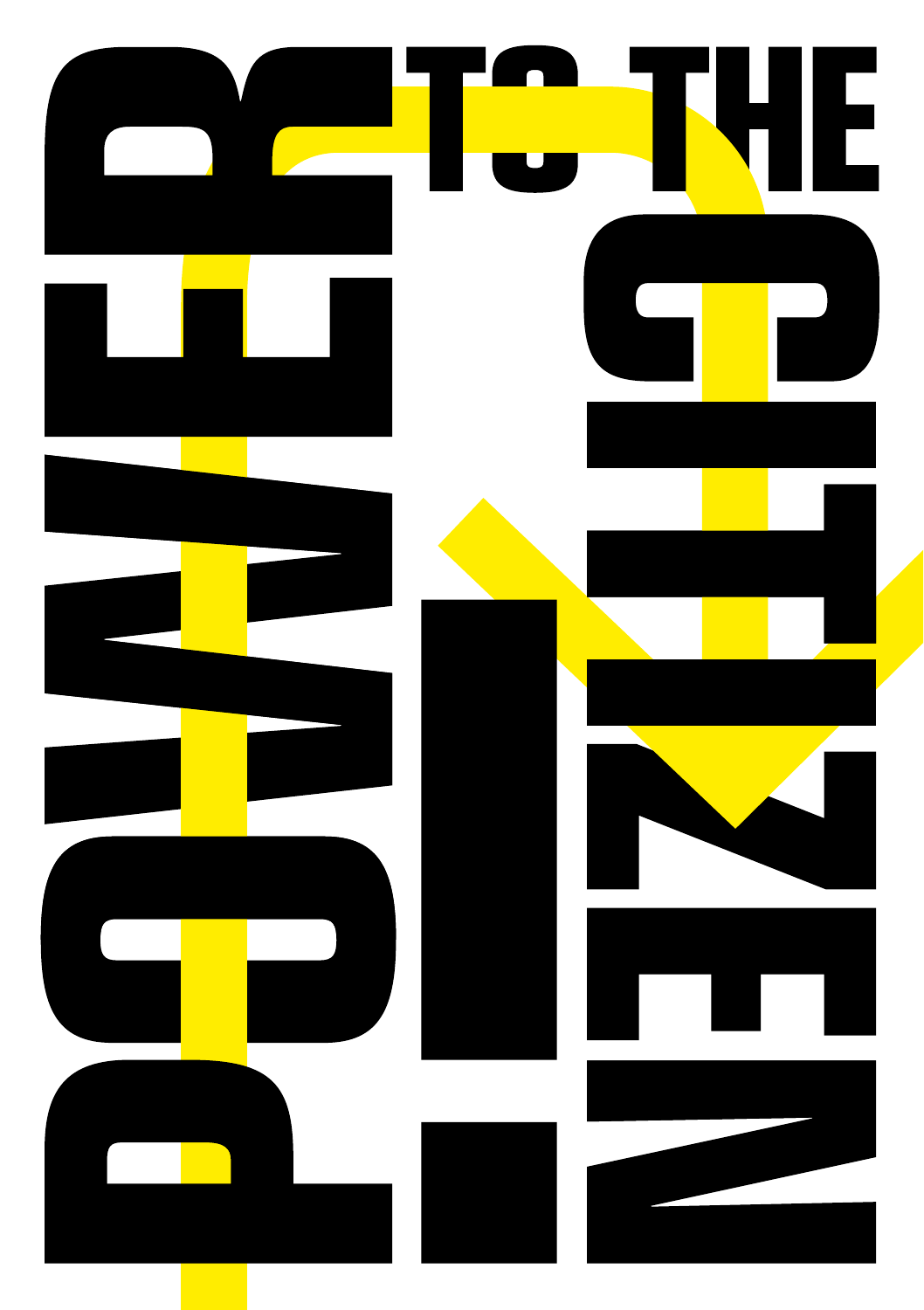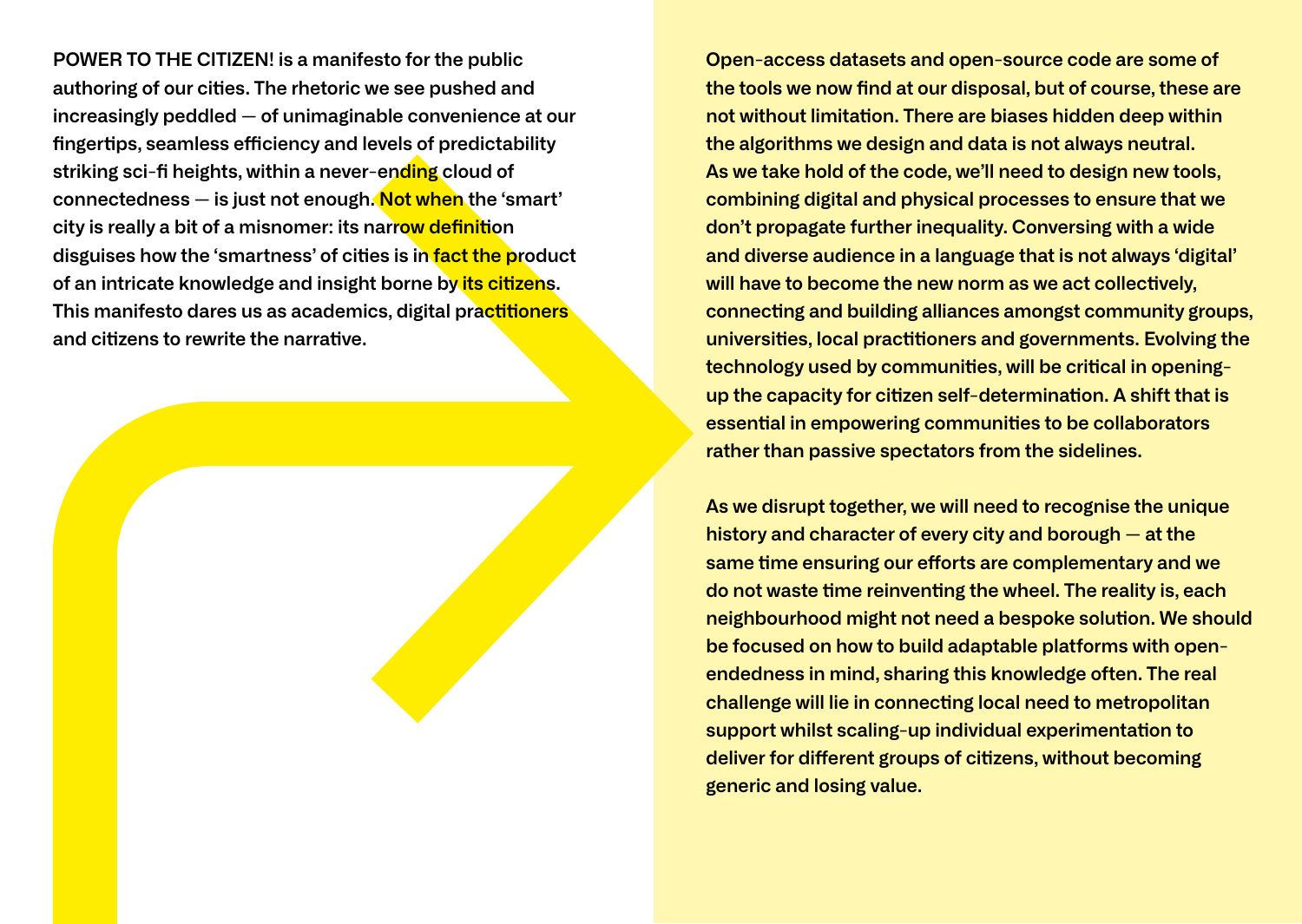**POWER TO THE CITIZEN! is a manifesto for the public**  authoring of our cities. The rhetoric we see pushed and **increasingly peddled — of unimaginable convenience at our**  finger tips, seamless efficiency and levels of predictability **striking sci-fi heights, within a never-ending cloud of connectedness — is just not enough. Not when the 'smart' city is really a bit of a misnomer: its narrow definition** disguises how the 'smartness' of cities is in fact the product of an intricate knowledge and insight borne by *its citizens.* **This manifesto dares us as academics, digital practitioners** and citizens to rewrite the narrative.

**Open-access datasets and open-source code are some of**  the tools we now find at our disposal, but of course, these are not without limitation. There are biases hidden deep within **the algorithms we design and data is not always neutral. As we take hold of the code, we'll need to design new tools, combining digital and physical processes to ensure that we don't propagate further inequality. Conversing with a wide and diverse audience in a language that is not always 'digital'**  will have to become the new norm as we act collectively. **connec ng and building alliances amongst community groups, universities, local practitioners and governments. Evolving the** technology used by communities, will be critical in opening**up the capacity for citizen self-determination. A shift that is essential in empowering communities to be collaborators rather than passive spectators from the sidelines.**

**As we disrupt together, we will need to recognise the unique history and character of every city and borough — at the same time ensuring our efforts are complementary and we do not waste me reinven ng the wheel. The reality is, each**  neighbourhood might not need a bespoke solution. We should **be focused on how to build adaptable platforms with openendedness in mind, sharing this knowledge often. The real**  challenge will lie in connecting local need to metropolitan **support whilst scaling-up individual experimentation to deliver for different groups of citizens, without becoming generic and losing value.**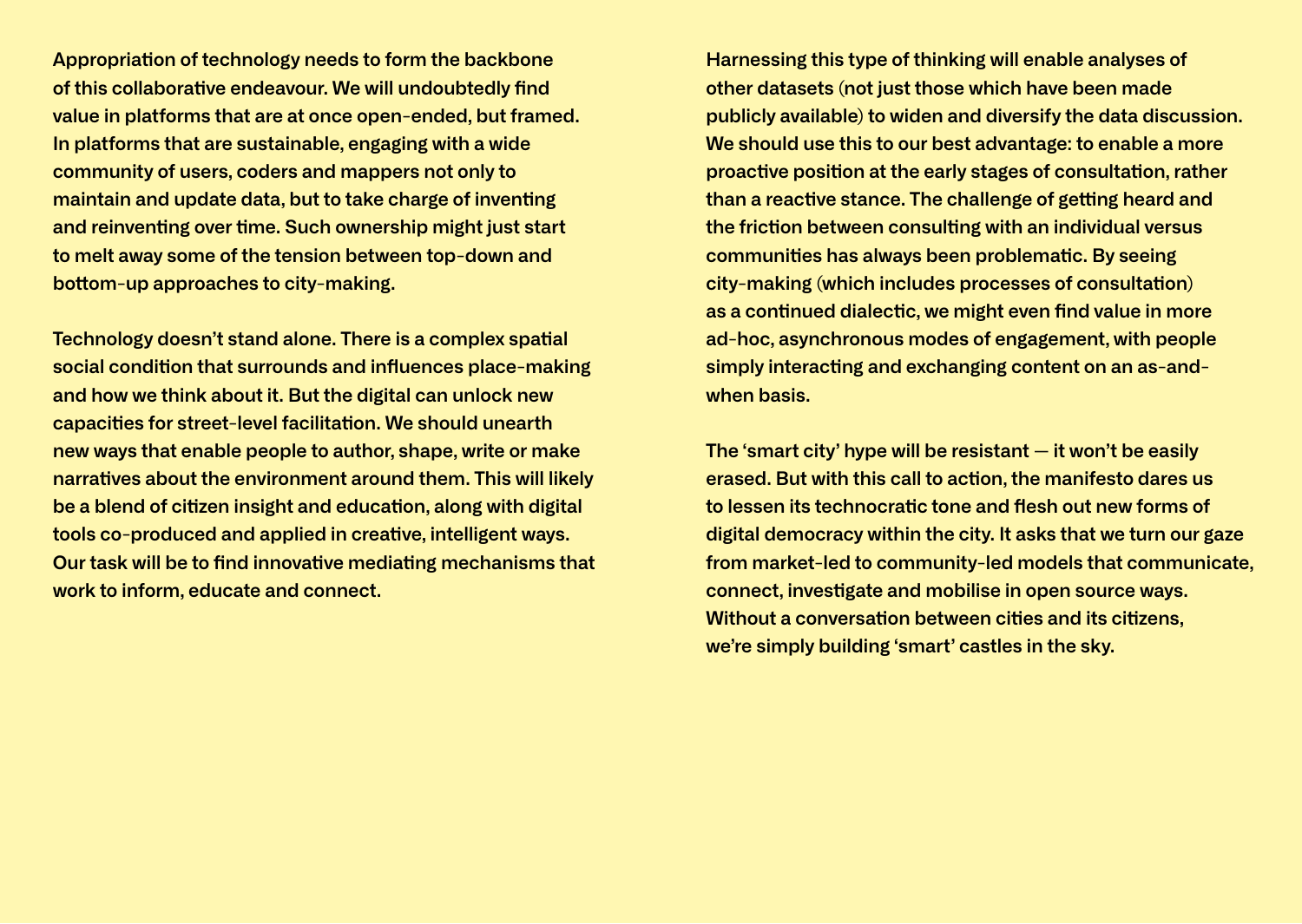**Appropria on of technology needs to form the backbone**  of this collaborative endeavour. We will undoubtedly find **value in platforms that are at once open-ended, but framed. In platforms that are sustainable, engaging with a wide community of users, coders and mappers not only to maintain and update data, but to take charge of inventing** and reinventing over time. Such ownership might just start **to melt away some of the tension between top-down and bottom-up approaches to city-making.** 

**Technology doesn't stand alone. There is a complex spatial social condition that surrounds and influences place-making and how we think about it. But the digital can unlock new capacities for street-level facilitation. We should unearth new ways that enable people to author, shape, write or make narra ves about the environment around them. This will likely be a blend of citizen insight and education, along with digital** tools co-produced and applied in creative, intelligent ways. **Our task will be to find innovative mediating mechanisms that work to inform, educate and connect.**

**Harnessing this type of thinking will enable analyses of other datasets (not just those which have been made publicly available) to widen and diversify the data discussion. We should use this to our best advantage: to enable a more proactive position at the early stages of consultation, rather** than a reactive stance. The challenge of getting heard and **the friction between consulting with an individual versus communities has always been problematic. By seeing city-making (which includes processes of consultation)** as a continued dialectic, we might even find value in more **ad-hoc, asynchronous modes of engagement, with people**  simply interacting and exchanging content on an as-and**when basis.**

**The 'smart city' hype will be resistant — it won't be easily erased. But with this call to action, the manifesto dares us** to lessen its technocratic tone and flesh out new forms of **digital democracy within the city. It asks that we turn our gaze from market-led to community-led models that communicate, connect, investigate and mobilise in open source ways. Without a conversation between cities and its citizens, we're simply building 'smart' castles in the sky.**